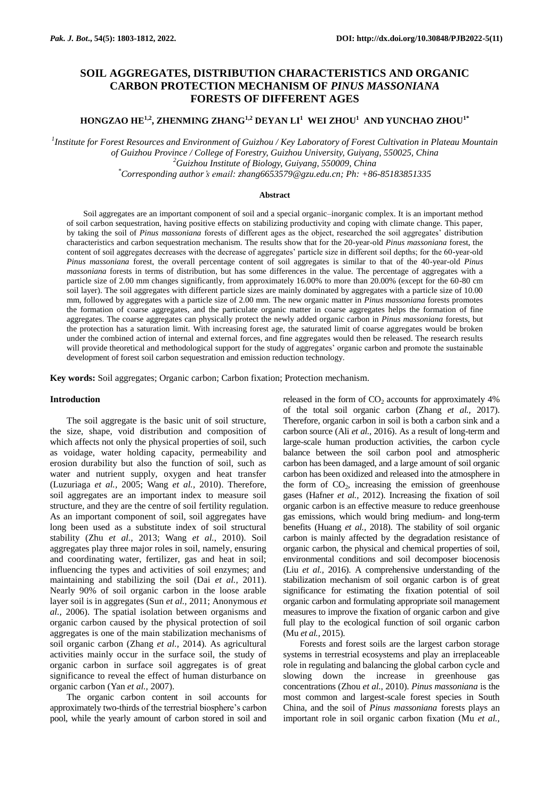# **SOIL AGGREGATES, DISTRIBUTION CHARACTERISTICS AND ORGANIC CARBON PROTECTION MECHANISM OF** *PINUS MASSONIANA*  **FORESTS OF DIFFERENT AGES**

**HONGZAO HE1,2, ZHENMING ZHANG1,2 DEYAN LI<sup>1</sup> WEI ZHOU<sup>1</sup> AND YUNCHAO ZHOU1\***

*1 Institute for Forest Resources and Environment of Guizhou / Key Laboratory of Forest Cultivation in Plateau Mountain of Guizhou Province / College of Forestry, Guizhou University, Guiyang, 550025, China <sup>2</sup>Guizhou Institute of Biology, Guiyang, 550009, China \*Corresponding author's email: zhang6653579@gzu.edu.cn; Ph: +86-85183851335* 

#### **Abstract**

Soil aggregates are an important component of soil and a special organic–inorganic complex. It is an important method of soil carbon sequestration, having positive effects on stabilizing productivity and coping with climate change. This paper, by taking the soil of *Pinus massoniana* forests of different ages as the object, researched the soil aggregates' distribution characteristics and carbon sequestration mechanism. The results show that for the 20-year-old *Pinus massoniana* forest, the content of soil aggregates decreases with the decrease of aggregates' particle size in different soil depths; for the 60-year-old *Pinus massoniana* forest, the overall percentage content of soil aggregates is similar to that of the 40-year-old *Pinus massoniana* forests in terms of distribution, but has some differences in the value. The percentage of aggregates with a particle size of 2.00 mm changes significantly, from approximately 16.00% to more than 20.00% (except for the 60-80 cm soil layer). The soil aggregates with different particle sizes are mainly dominated by aggregates with a particle size of 10.00 mm, followed by aggregates with a particle size of 2.00 mm. The new organic matter in *Pinus massoniana* forests promotes the formation of coarse aggregates, and the particulate organic matter in coarse aggregates helps the formation of fine aggregates. The coarse aggregates can physically protect the newly added organic carbon in *Pinus massoniana* forests, but the protection has a saturation limit. With increasing forest age, the saturated limit of coarse aggregates would be broken under the combined action of internal and external forces, and fine aggregates would then be released. The research results will provide theoretical and methodological support for the study of aggregates' organic carbon and promote the sustainable development of forest soil carbon sequestration and emission reduction technology.

**Key words:** Soil aggregates; Organic carbon; Carbon fixation; Protection mechanism.

#### **Introduction**

The soil aggregate is the basic unit of soil structure, the size, shape, void distribution and composition of which affects not only the physical properties of soil, such as voidage, water holding capacity, permeability and erosion durability but also the function of soil, such as water and nutrient supply, oxygen and heat transfer (Luzuriaga *et al.,* 2005; Wang *et al.,* 2010). Therefore, soil aggregates are an important index to measure soil structure, and they are the centre of soil fertility regulation. As an important component of soil, soil aggregates have long been used as a substitute index of soil structural stability (Zhu *et al.,* 2013; Wang *et al.,* 2010). Soil aggregates play three major roles in soil, namely, ensuring and coordinating water, fertilizer, gas and heat in soil; influencing the types and activities of soil enzymes; and maintaining and stabilizing the soil (Dai *et al.,* 2011). Nearly 90% of soil organic carbon in the loose arable layer soil is in aggregates (Sun *et al.,* 2011; Anonymous *et al.,* 2006). The spatial isolation between organisms and organic carbon caused by the physical protection of soil aggregates is one of the main stabilization mechanisms of soil organic carbon (Zhang *et al.,* 2014). As agricultural activities mainly occur in the surface soil, the study of organic carbon in surface soil aggregates is of great significance to reveal the effect of human disturbance on organic carbon (Yan *et al.,* 2007).

The organic carbon content in soil accounts for approximately two-thirds of the terrestrial biosphere's carbon pool, while the yearly amount of carbon stored in soil and

released in the form of  $CO<sub>2</sub>$  accounts for approximately 4% of the total soil organic carbon (Zhang *et al.,* 2017). Therefore, organic carbon in soil is both a carbon sink and a carbon source (Ali *et al.,* 2016). As a result of long-term and large-scale human production activities, the carbon cycle balance between the soil carbon pool and atmospheric carbon has been damaged, and a large amount of soil organic carbon has been oxidized and released into the atmosphere in the form of  $CO<sub>2</sub>$ , increasing the emission of greenhouse gases (Hafner *et al.,* 2012). Increasing the fixation of soil organic carbon is an effective measure to reduce greenhouse gas emissions, which would bring medium- and long-term benefits (Huang *et al.,* 2018). The stability of soil organic carbon is mainly affected by the degradation resistance of organic carbon, the physical and chemical properties of soil, environmental conditions and soil decomposer biocenosis (Liu *et al.,* 2016). A comprehensive understanding of the stabilization mechanism of soil organic carbon is of great significance for estimating the fixation potential of soil organic carbon and formulating appropriate soil management measures to improve the fixation of organic carbon and give full play to the ecological function of soil organic carbon (Mu *et al.,* 2015).

Forests and forest soils are the largest carbon storage systems in terrestrial ecosystems and play an irreplaceable role in regulating and balancing the global carbon cycle and slowing down the increase in greenhouse gas concentrations (Zhou *et al.,* 2010). *Pinus massoniana* is the most common and largest-scale forest species in South China, and the soil of *Pinus massoniana* forests plays an important role in soil organic carbon fixation (Mu *et al.,*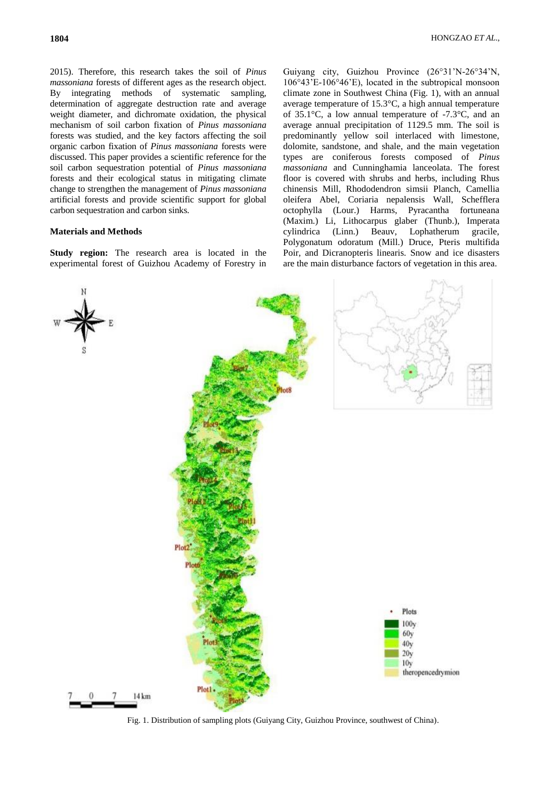2015). Therefore, this research takes the soil of *Pinus massoniana* forests of different ages as the research object. By integrating methods of systematic sampling, determination of aggregate destruction rate and average weight diameter, and dichromate oxidation, the physical mechanism of soil carbon fixation of *Pinus massoniana*  forests was studied, and the key factors affecting the soil organic carbon fixation of *Pinus massoniana* forests were discussed. This paper provides a scientific reference for the soil carbon sequestration potential of *Pinus massoniana*  forests and their ecological status in mitigating climate change to strengthen the management of *Pinus massoniana*  artificial forests and provide scientific support for global carbon sequestration and carbon sinks.

## **Materials and Methods**

**Study region:** The research area is located in the experimental forest of Guizhou Academy of Forestry in

Guiyang city, Guizhou Province (26°31'N-26°34'N, 106°43'E-106°46'E), located in the subtropical monsoon climate zone in Southwest China (Fig. 1), with an annual average temperature of 15.3°C, a high annual temperature of 35.1°C, a low annual temperature of -7.3°C, and an average annual precipitation of 1129.5 mm. The soil is predominantly yellow soil interlaced with limestone, dolomite, sandstone, and shale, and the main vegetation types are coniferous forests composed of *Pinus massoniana* and Cunninghamia lanceolata. The forest floor is covered with shrubs and herbs, including Rhus chinensis Mill, Rhododendron simsii Planch, Camellia oleifera Abel, Coriaria nepalensis Wall, Schefflera octophylla (Lour.) Harms, Pyracantha fortuneana (Maxim.) Li, Lithocarpus glaber (Thunb.), Imperata cylindrica (Linn.) Beauv, Lophatherum gracile, Polygonatum odoratum (Mill.) Druce, Pteris multifida Poir, and Dicranopteris linearis. Snow and ice disasters are the main disturbance factors of vegetation in this area.



Fig. 1. Distribution of sampling plots (Guiyang City, Guizhou Province, southwest of China).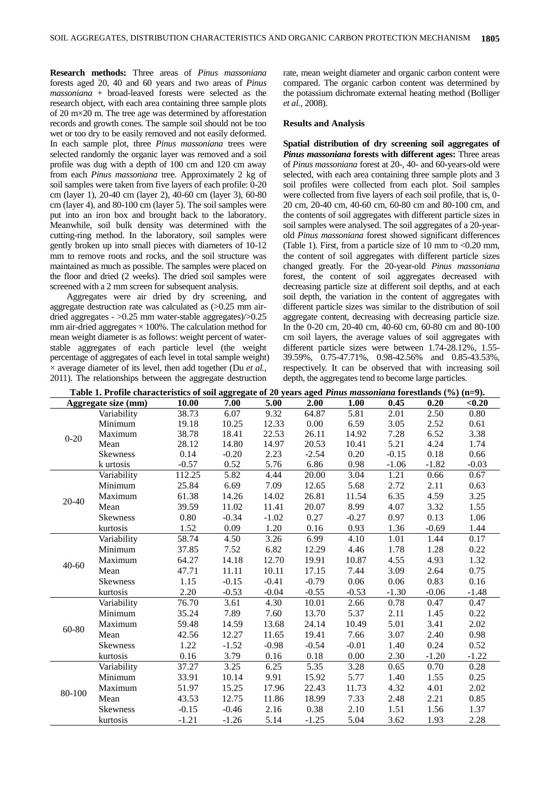**Research methods:** Three areas of *Pinus massoniana*  forests aged 20, 40 and 60 years and two areas of *Pinus massoniana* + broad-leaved forests were selected as the research object, with each area containing three sample plots of 20 m×20 m. The tree age was determined by afforestation records and growth cones. The sample soil should not be too wet or too dry to be easily removed and not easily deformed. In each sample plot, three *Pinus massoniana* trees were selected randomly the organic layer was removed and a soil profile was dug with a depth of 100 cm and 120 cm away from each *Pinus massoniana* tree. Approximately 2 kg of soil samples were taken from five layers of each profile: 0-20 cm (layer 1), 20-40 cm (layer 2), 40-60 cm (layer 3), 60-80 cm (layer 4), and 80-100 cm (layer 5). The soil samples were put into an iron box and brought back to the laboratory. Meanwhile, soil bulk density was determined with the cutting-ring method. In the laboratory, soil samples were gently broken up into small pieces with diameters of 10-12 mm to remove roots and rocks, and the soil structure was maintained as much as possible. The samples were placed on the floor and dried (2 weeks). The dried soil samples were screened with a 2 mm screen for subsequent analysis.

Aggregates were air dried by dry screening, and aggregate destruction rate was calculated as (>0.25 mm airdried aggregates - >0.25 mm water-stable aggregates)/>0.25 mm air-dried aggregates  $\times$  100%. The calculation method for mean weight diameter is as follows: weight percent of waterstable aggregates of each particle level (the weight percentage of aggregates of each level in total sample weight) × average diameter of its level, then add together (Du *et al.,*  2011). The relationships between the aggregate destruction

rate, mean weight diameter and organic carbon content were compared. The organic carbon content was determined by the potassium dichromate external heating method (Bolliger *et al.,* 2008).

#### **Results and Analysis**

**Spatial distribution of dry screening soil aggregates of**  *Pinus massoniana* **forests with different ages:** Three areas of *Pinus massoniana* forest at 20-, 40- and 60-years-old were selected, with each area containing three sample plots and 3 soil profiles were collected from each plot. Soil samples were collected from five layers of each soil profile, that is, 0- 20 cm, 20-40 cm, 40-60 cm, 60-80 cm and 80-100 cm, and the contents of soil aggregates with different particle sizes in soil samples were analysed. The soil aggregates of a 20-yearold *Pinus massoniana* forest showed significant differences (Table 1). First, from a particle size of 10 mm to  $< 0.20$  mm, the content of soil aggregates with different particle sizes changed greatly. For the 20-year-old *Pinus massoniana*  forest, the content of soil aggregates decreased with decreasing particle size at different soil depths, and at each soil depth, the variation in the content of aggregates with different particle sizes was similar to the distribution of soil aggregate content, decreasing with decreasing particle size. In the 0-20 cm, 20-40 cm, 40-60 cm, 60-80 cm and 80-100 cm soil layers, the average values of soil aggregates with different particle sizes were between 1.74-28.12%, 1.55- 39.59%, 0.75-47.71%, 0.98-42.56% and 0.85-43.53%, respectively. It can be observed that with increasing soil depth, the aggregates tend to become large particles.

| Table 1. Profile characteristics of soil aggregate of 20 years aged <i>Pinus massoniana</i> forestlands $(\%)$ (n=9). |                 |         |         |         |         |         |         |         |         |
|-----------------------------------------------------------------------------------------------------------------------|-----------------|---------|---------|---------|---------|---------|---------|---------|---------|
| Aggregate size (mm)                                                                                                   |                 | 10.00   | 7.00    | 5.00    | 2.00    | 1.00    | 0.45    | 0.20    | $0.20$  |
| $0 - 20$                                                                                                              | Variability     | 38.73   | 6.07    | 9.32    | 64.87   | 5.81    | 2.01    | 2.50    | 0.80    |
|                                                                                                                       | Minimum         | 19.18   | 10.25   | 12.33   | 0.00    | 6.59    | 3.05    | 2.52    | 0.61    |
|                                                                                                                       | Maximum         | 38.78   | 18.41   | 22.53   | 26.11   | 14.92   | 7.28    | 6.52    | 3.38    |
|                                                                                                                       | Mean            | 28.12   | 14.80   | 14.97   | 20.53   | 10.41   | 5.21    | 4.24    | 1.74    |
|                                                                                                                       | <b>Skewness</b> | 0.14    | $-0.20$ | 2.23    | $-2.54$ | 0.20    | $-0.15$ | 0.18    | 0.66    |
|                                                                                                                       | k urtosis       | $-0.57$ | 0.52    | 5.76    | 6.86    | 0.98    | $-1.06$ | $-1.82$ | $-0.03$ |
|                                                                                                                       | Variability     | 112.25  | 5.82    | 4.44    | 20.00   | 3.04    | 1.21    | 0.66    | 0.67    |
|                                                                                                                       | Minimum         | 25.84   | 6.69    | 7.09    | 12.65   | 5.68    | 2.72    | 2.11    | 0.63    |
|                                                                                                                       | Maximum         | 61.38   | 14.26   | 14.02   | 26.81   | 11.54   | 6.35    | 4.59    | 3.25    |
| 20-40                                                                                                                 | Mean            | 39.59   | 11.02   | 11.41   | 20.07   | 8.99    | 4.07    | 3.32    | 1.55    |
|                                                                                                                       | Skewness        | 0.80    | $-0.34$ | $-1.02$ | 0.27    | $-0.27$ | 0.97    | 0.13    | 1.06    |
|                                                                                                                       | kurtosis        | 1.52    | 0.09    | 1.20    | 0.16    | 0.93    | 1.36    | $-0.69$ | 1.44    |
|                                                                                                                       | Variability     | 58.74   | 4.50    | 3.26    | 6.99    | 4.10    | 1.01    | 1.44    | 0.17    |
|                                                                                                                       | Minimum         | 37.85   | 7.52    | 6.82    | 12.29   | 4.46    | 1.78    | 1.28    | 0.22    |
|                                                                                                                       | Maximum         | 64.27   | 14.18   | 12.70   | 19.91   | 10.87   | 4.55    | 4.93    | 1.32    |
| $40 - 60$                                                                                                             | Mean            | 47.71   | 11.11   | 10.11   | 17.15   | 7.44    | 3.09    | 2.64    | 0.75    |
|                                                                                                                       | Skewness        | 1.15    | $-0.15$ | $-0.41$ | $-0.79$ | 0.06    | 0.06    | 0.83    | 0.16    |
|                                                                                                                       | kurtosis        | 2.20    | $-0.53$ | $-0.04$ | $-0.55$ | $-0.53$ | $-1.30$ | $-0.06$ | $-1.48$ |
|                                                                                                                       | Variability     | 76.70   | 3.61    | 4.30    | 10.01   | 2.66    | 0.78    | 0.47    | 0.47    |
|                                                                                                                       | Minimum         | 35.24   | 7.89    | 7.60    | 13.70   | 5.37    | 2.11    | 1.45    | 0.22    |
|                                                                                                                       | Maximum         | 59.48   | 14.59   | 13.68   | 24.14   | 10.49   | 5.01    | 3.41    | 2.02    |
| 60-80                                                                                                                 | Mean            | 42.56   | 12.27   | 11.65   | 19.41   | 7.66    | 3.07    | 2.40    | 0.98    |
|                                                                                                                       | Skewness        | 1.22    | $-1.52$ | $-0.98$ | $-0.54$ | $-0.01$ | 1.40    | 0.24    | 0.52    |
|                                                                                                                       | kurtosis        | 0.16    | 3.79    | 0.16    | 0.18    | 0.00    | 2.30    | $-1.20$ | $-1.22$ |
|                                                                                                                       | Variability     | 37.27   | 3.25    | 6.25    | 5.35    | 3.28    | 0.65    | 0.70    | 0.28    |
|                                                                                                                       | Minimum         | 33.91   | 10.14   | 9.91    | 15.92   | 5.77    | 1.40    | 1.55    | 0.25    |
|                                                                                                                       | Maximum         | 51.97   | 15.25   | 17.96   | 22.43   | 11.73   | 4.32    | 4.01    | 2.02    |
| 80-100                                                                                                                | Mean            | 43.53   | 12.75   | 11.86   | 18.99   | 7.33    | 2.48    | 2.21    | 0.85    |
|                                                                                                                       | <b>Skewness</b> | $-0.15$ | $-0.46$ | 2.16    | 0.38    | 2.10    | 1.51    | 1.56    | 1.37    |
|                                                                                                                       | kurtosis        | $-1.21$ | $-1.26$ | 5.14    | $-1.25$ | 5.04    | 3.62    | 1.93    | 2.28    |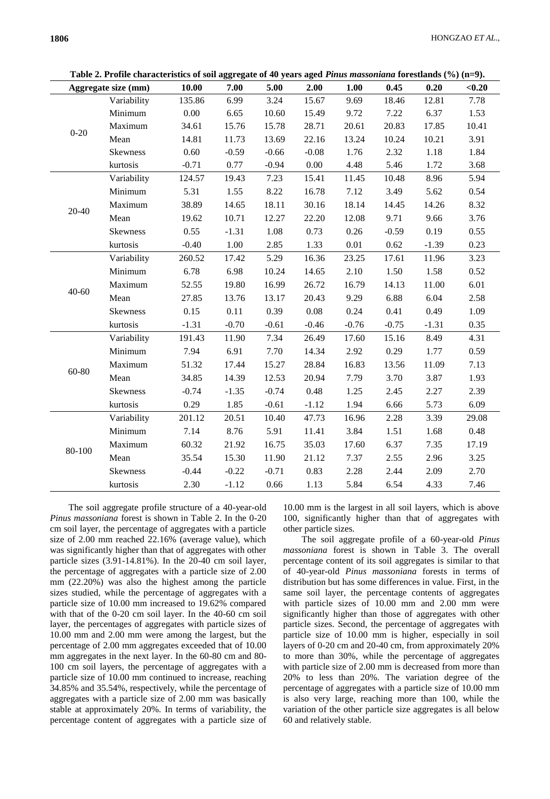|  |  | Table 2. Profile characteristics of soil aggregate of 40 years aged <i>Pinus massoniana</i> forestlands $(\%)$ (n=9). |
|--|--|-----------------------------------------------------------------------------------------------------------------------|
|--|--|-----------------------------------------------------------------------------------------------------------------------|

| Table 2. I future that acteristics of soil aggregate of 40 years aged T <i>utus mussolitum</i> forestianus (70) (n=2).<br>Aggregate size (mm) |                 | 10.00   | 7.00    | 5.00    | 2.00     | 1.00    | 0.45    | 0.20    | < 0.20 |
|-----------------------------------------------------------------------------------------------------------------------------------------------|-----------------|---------|---------|---------|----------|---------|---------|---------|--------|
| $0 - 20$                                                                                                                                      | Variability     | 135.86  | 6.99    | 3.24    | 15.67    | 9.69    | 18.46   | 12.81   | 7.78   |
|                                                                                                                                               | Minimum         | 0.00    | 6.65    | 10.60   | 15.49    | 9.72    | 7.22    | 6.37    | 1.53   |
|                                                                                                                                               | Maximum         | 34.61   | 15.76   | 15.78   | 28.71    | 20.61   | 20.83   | 17.85   | 10.41  |
|                                                                                                                                               | Mean            | 14.81   | 11.73   | 13.69   | 22.16    | 13.24   | 10.24   | 10.21   | 3.91   |
|                                                                                                                                               | Skewness        | 0.60    | $-0.59$ | $-0.66$ | $-0.08$  | 1.76    | 2.32    | 1.18    | 1.84   |
|                                                                                                                                               | kurtosis        | $-0.71$ | 0.77    | $-0.94$ | 0.00     | 4.48    | 5.46    | 1.72    | 3.68   |
|                                                                                                                                               | Variability     | 124.57  | 19.43   | 7.23    | 15.41    | 11.45   | 10.48   | 8.96    | 5.94   |
|                                                                                                                                               | Minimum         | 5.31    | 1.55    | 8.22    | 16.78    | 7.12    | 3.49    | 5.62    | 0.54   |
| $20 - 40$                                                                                                                                     | Maximum         | 38.89   | 14.65   | 18.11   | 30.16    | 18.14   | 14.45   | 14.26   | 8.32   |
|                                                                                                                                               | Mean            | 19.62   | 10.71   | 12.27   | 22.20    | 12.08   | 9.71    | 9.66    | 3.76   |
|                                                                                                                                               | <b>Skewness</b> | 0.55    | $-1.31$ | 1.08    | 0.73     | 0.26    | $-0.59$ | 0.19    | 0.55   |
|                                                                                                                                               | kurtosis        | $-0.40$ | 1.00    | 2.85    | 1.33     | 0.01    | 0.62    | $-1.39$ | 0.23   |
|                                                                                                                                               | Variability     | 260.52  | 17.42   | 5.29    | 16.36    | 23.25   | 17.61   | 11.96   | 3.23   |
|                                                                                                                                               | Minimum         | 6.78    | 6.98    | 10.24   | 14.65    | 2.10    | 1.50    | 1.58    | 0.52   |
|                                                                                                                                               | Maximum         | 52.55   | 19.80   | 16.99   | 26.72    | 16.79   | 14.13   | 11.00   | 6.01   |
| $40 - 60$                                                                                                                                     | Mean            | 27.85   | 13.76   | 13.17   | 20.43    | 9.29    | 6.88    | 6.04    | 2.58   |
|                                                                                                                                               | Skewness        | 0.15    | 0.11    | 0.39    | $0.08\,$ | 0.24    | 0.41    | 0.49    | 1.09   |
|                                                                                                                                               | kurtosis        | $-1.31$ | $-0.70$ | $-0.61$ | $-0.46$  | $-0.76$ | $-0.75$ | $-1.31$ | 0.35   |
|                                                                                                                                               | Variability     | 191.43  | 11.90   | 7.34    | 26.49    | 17.60   | 15.16   | 8.49    | 4.31   |
|                                                                                                                                               | Minimum         | 7.94    | 6.91    | 7.70    | 14.34    | 2.92    | 0.29    | 1.77    | 0.59   |
|                                                                                                                                               | Maximum         | 51.32   | 17.44   | 15.27   | 28.84    | 16.83   | 13.56   | 11.09   | 7.13   |
| 60-80                                                                                                                                         | Mean            | 34.85   | 14.39   | 12.53   | 20.94    | 7.79    | 3.70    | 3.87    | 1.93   |
|                                                                                                                                               | <b>Skewness</b> | $-0.74$ | $-1.35$ | $-0.74$ | 0.48     | 1.25    | 2.45    | 2.27    | 2.39   |
|                                                                                                                                               | kurtosis        | 0.29    | 1.85    | $-0.61$ | $-1.12$  | 1.94    | 6.66    | 5.73    | 6.09   |
| 80-100                                                                                                                                        | Variability     | 201.12  | 20.51   | 10.40   | 47.73    | 16.96   | 2.28    | 3.39    | 29.08  |
|                                                                                                                                               | Minimum         | 7.14    | 8.76    | 5.91    | 11.41    | 3.84    | 1.51    | 1.68    | 0.48   |
|                                                                                                                                               | Maximum         | 60.32   | 21.92   | 16.75   | 35.03    | 17.60   | 6.37    | 7.35    | 17.19  |
|                                                                                                                                               | Mean            | 35.54   | 15.30   | 11.90   | 21.12    | 7.37    | 2.55    | 2.96    | 3.25   |
|                                                                                                                                               | Skewness        | $-0.44$ | $-0.22$ | $-0.71$ | 0.83     | 2.28    | 2.44    | 2.09    | 2.70   |
|                                                                                                                                               | kurtosis        | 2.30    | $-1.12$ | 0.66    | 1.13     | 5.84    | 6.54    | 4.33    | 7.46   |
|                                                                                                                                               |                 |         |         |         |          |         |         |         |        |

The soil aggregate profile structure of a 40-year-old *Pinus massoniana* forest is shown in Table 2. In the 0-20 cm soil layer, the percentage of aggregates with a particle size of 2.00 mm reached 22.16% (average value), which was significantly higher than that of aggregates with other particle sizes (3.91-14.81%). In the 20-40 cm soil layer, the percentage of aggregates with a particle size of 2.00 mm (22.20%) was also the highest among the particle sizes studied, while the percentage of aggregates with a particle size of 10.00 mm increased to 19.62% compared with that of the 0-20 cm soil layer. In the 40-60 cm soil layer, the percentages of aggregates with particle sizes of 10.00 mm and 2.00 mm were among the largest, but the percentage of 2.00 mm aggregates exceeded that of 10.00 mm aggregates in the next layer. In the 60-80 cm and 80- 100 cm soil layers, the percentage of aggregates with a particle size of 10.00 mm continued to increase, reaching 34.85% and 35.54%, respectively, while the percentage of aggregates with a particle size of 2.00 mm was basically stable at approximately 20%. In terms of variability, the percentage content of aggregates with a particle size of

10.00 mm is the largest in all soil layers, which is above 100, significantly higher than that of aggregates with other particle sizes.

The soil aggregate profile of a 60-year-old *Pinus massoniana* forest is shown in Table 3. The overall percentage content of its soil aggregates is similar to that of 40-year-old *Pinus massoniana* forests in terms of distribution but has some differences in value. First, in the same soil layer, the percentage contents of aggregates with particle sizes of 10.00 mm and 2.00 mm were significantly higher than those of aggregates with other particle sizes. Second, the percentage of aggregates with particle size of 10.00 mm is higher, especially in soil layers of 0-20 cm and 20-40 cm, from approximately 20% to more than 30%, while the percentage of aggregates with particle size of 2.00 mm is decreased from more than 20% to less than 20%. The variation degree of the percentage of aggregates with a particle size of 10.00 mm is also very large, reaching more than 100, while the variation of the other particle size aggregates is all below 60 and relatively stable.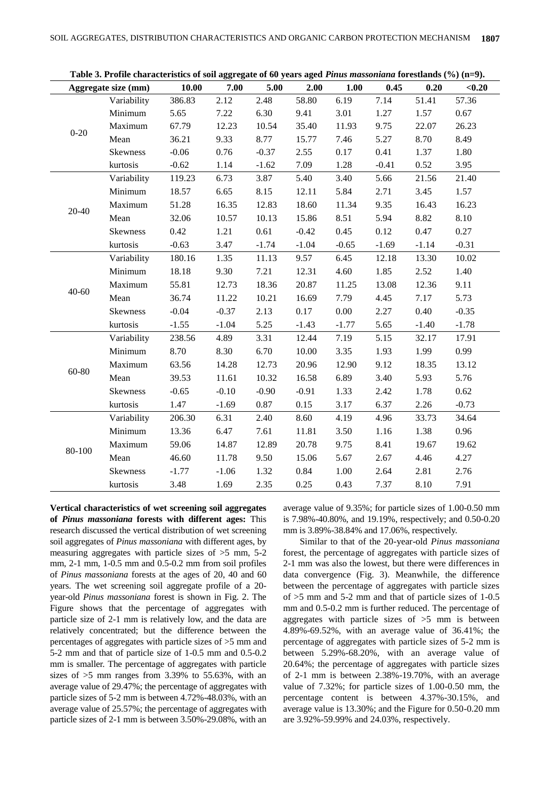| Aggregate size (mm) |             | 10.00   | 7.00    | 5.00    | 2.00    | 1.00     | 0.45    | 0.20    | < 0.20  |
|---------------------|-------------|---------|---------|---------|---------|----------|---------|---------|---------|
| $0 - 20$            | Variability | 386.83  | 2.12    | 2.48    | 58.80   | 6.19     | 7.14    | 51.41   | 57.36   |
|                     | Minimum     | 5.65    | 7.22    | 6.30    | 9.41    | 3.01     | 1.27    | 1.57    | 0.67    |
|                     | Maximum     | 67.79   | 12.23   | 10.54   | 35.40   | 11.93    | 9.75    | 22.07   | 26.23   |
|                     | Mean        | 36.21   | 9.33    | 8.77    | 15.77   | 7.46     | 5.27    | 8.70    | 8.49    |
|                     | Skewness    | $-0.06$ | 0.76    | $-0.37$ | 2.55    | 0.17     | 0.41    | 1.37    | 1.80    |
|                     | kurtosis    | $-0.62$ | 1.14    | $-1.62$ | 7.09    | 1.28     | $-0.41$ | 0.52    | 3.95    |
|                     | Variability | 119.23  | 6.73    | 3.87    | 5.40    | 3.40     | 5.66    | 21.56   | 21.40   |
|                     | Minimum     | 18.57   | 6.65    | 8.15    | 12.11   | 5.84     | 2.71    | 3.45    | 1.57    |
| $20 - 40$           | Maximum     | 51.28   | 16.35   | 12.83   | 18.60   | 11.34    | 9.35    | 16.43   | 16.23   |
|                     | Mean        | 32.06   | 10.57   | 10.13   | 15.86   | 8.51     | 5.94    | 8.82    | 8.10    |
|                     | Skewness    | 0.42    | 1.21    | 0.61    | $-0.42$ | 0.45     | 0.12    | 0.47    | 0.27    |
|                     | kurtosis    | $-0.63$ | 3.47    | $-1.74$ | $-1.04$ | $-0.65$  | $-1.69$ | $-1.14$ | $-0.31$ |
|                     | Variability | 180.16  | 1.35    | 11.13   | 9.57    | 6.45     | 12.18   | 13.30   | 10.02   |
|                     | Minimum     | 18.18   | 9.30    | 7.21    | 12.31   | 4.60     | 1.85    | 2.52    | 1.40    |
|                     | Maximum     | 55.81   | 12.73   | 18.36   | 20.87   | 11.25    | 13.08   | 12.36   | 9.11    |
| $40 - 60$           | Mean        | 36.74   | 11.22   | 10.21   | 16.69   | 7.79     | 4.45    | 7.17    | 5.73    |
|                     | Skewness    | $-0.04$ | $-0.37$ | 2.13    | 0.17    | $0.00\,$ | 2.27    | 0.40    | $-0.35$ |
|                     | kurtosis    | $-1.55$ | $-1.04$ | 5.25    | $-1.43$ | $-1.77$  | 5.65    | $-1.40$ | $-1.78$ |
|                     | Variability | 238.56  | 4.89    | 3.31    | 12.44   | 7.19     | 5.15    | 32.17   | 17.91   |
|                     | Minimum     | 8.70    | 8.30    | 6.70    | 10.00   | 3.35     | 1.93    | 1.99    | 0.99    |
|                     | Maximum     | 63.56   | 14.28   | 12.73   | 20.96   | 12.90    | 9.12    | 18.35   | 13.12   |
| $60 - 80$           | Mean        | 39.53   | 11.61   | 10.32   | 16.58   | 6.89     | 3.40    | 5.93    | 5.76    |
|                     | Skewness    | $-0.65$ | $-0.10$ | $-0.90$ | $-0.91$ | 1.33     | 2.42    | 1.78    | 0.62    |
|                     | kurtosis    | 1.47    | $-1.69$ | 0.87    | 0.15    | 3.17     | 6.37    | 2.26    | $-0.73$ |
| 80-100              | Variability | 206.30  | 6.31    | 2.40    | 8.60    | 4.19     | 4.96    | 33.73   | 34.64   |
|                     | Minimum     | 13.36   | 6.47    | 7.61    | 11.81   | 3.50     | 1.16    | 1.38    | 0.96    |
|                     | Maximum     | 59.06   | 14.87   | 12.89   | 20.78   | 9.75     | 8.41    | 19.67   | 19.62   |
|                     | Mean        | 46.60   | 11.78   | 9.50    | 15.06   | 5.67     | 2.67    | 4.46    | 4.27    |
|                     | Skewness    | $-1.77$ | $-1.06$ | 1.32    | 0.84    | 1.00     | 2.64    | 2.81    | 2.76    |
|                     | kurtosis    | 3.48    | 1.69    | 2.35    | 0.25    | 0.43     | 7.37    | 8.10    | 7.91    |

**Table 3. Profile characteristics of soil aggregate of 60 years aged** *Pinus massoniana* **forestlands (%) (n=9).**

**Vertical characteristics of wet screening soil aggregates of** *Pinus massoniana* **forests with different ages:** This research discussed the vertical distribution of wet screening soil aggregates of *Pinus massoniana* with different ages, by measuring aggregates with particle sizes of  $>5$  mm, 5-2 mm, 2-1 mm, 1-0.5 mm and 0.5-0.2 mm from soil profiles of *Pinus massoniana* forests at the ages of 20, 40 and 60 years. The wet screening soil aggregate profile of a 20 year-old *Pinus massoniana* forest is shown in Fig. 2. The Figure shows that the percentage of aggregates with particle size of 2-1 mm is relatively low, and the data are relatively concentrated; but the difference between the percentages of aggregates with particle sizes of >5 mm and 5-2 mm and that of particle size of 1-0.5 mm and 0.5-0.2 mm is smaller. The percentage of aggregates with particle sizes of  $>5$  mm ranges from 3.39% to 55.63%, with an average value of 29.47%; the percentage of aggregates with particle sizes of 5-2 mm is between 4.72%-48.03%, with an average value of 25.57%; the percentage of aggregates with particle sizes of 2-1 mm is between 3.50%-29.08%, with an

average value of 9.35%; for particle sizes of 1.00-0.50 mm is 7.98%-40.80%, and 19.19%, respectively; and 0.50-0.20 mm is 3.89%-38.84% and 17.06%, respectively.

Similar to that of the 20-year-old *Pinus massoniana*  forest, the percentage of aggregates with particle sizes of 2-1 mm was also the lowest, but there were differences in data convergence (Fig. 3). Meanwhile, the difference between the percentage of aggregates with particle sizes of >5 mm and 5-2 mm and that of particle sizes of 1-0.5 mm and 0.5-0.2 mm is further reduced. The percentage of aggregates with particle sizes of  $>5$  mm is between 4.89%-69.52%, with an average value of 36.41%; the percentage of aggregates with particle sizes of 5-2 mm is between 5.29%-68.20%, with an average value of 20.64%; the percentage of aggregates with particle sizes of 2-1 mm is between 2.38%-19.70%, with an average value of 7.32%; for particle sizes of 1.00-0.50 mm, the percentage content is between 4.37%-30.15%, and average value is 13.30%; and the Figure for 0.50-0.20 mm are 3.92%-59.99% and 24.03%, respectively.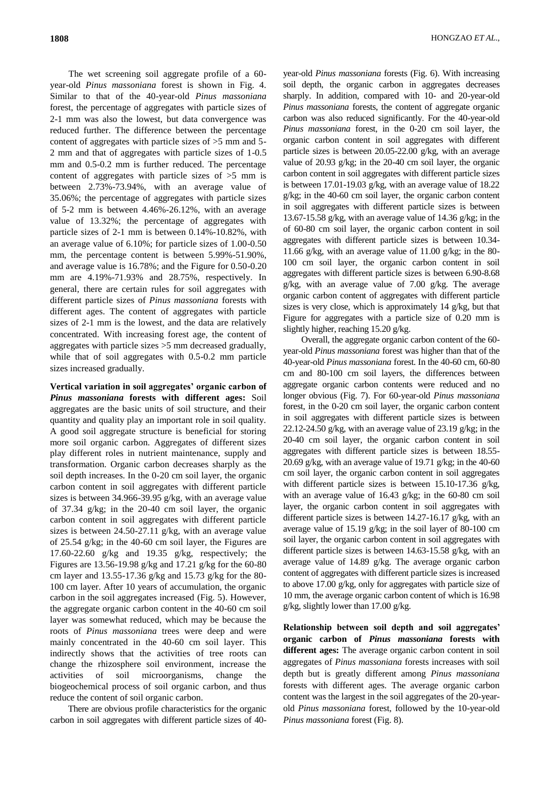The wet screening soil aggregate profile of a 60 year-old *Pinus massoniana* forest is shown in Fig. 4. Similar to that of the 40-year-old *Pinus massoniana*  forest, the percentage of aggregates with particle sizes of 2-1 mm was also the lowest, but data convergence was reduced further. The difference between the percentage content of aggregates with particle sizes of >5 mm and 5- 2 mm and that of aggregates with particle sizes of 1-0.5 mm and  $0.5$ -0.2 mm is further reduced. The percentage content of aggregates with particle sizes of >5 mm is between 2.73%-73.94%, with an average value of 35.06%; the percentage of aggregates with particle sizes of 5-2 mm is between 4.46%-26.12%, with an average value of 13.32%; the percentage of aggregates with particle sizes of 2-1 mm is between 0.14%-10.82%, with an average value of 6.10%; for particle sizes of 1.00-0.50 mm, the percentage content is between 5.99%-51.90%, and average value is 16.78%; and the Figure for 0.50-0.20 mm are 4.19%-71.93% and 28.75%, respectively. In general, there are certain rules for soil aggregates with different particle sizes of *Pinus massoniana* forests with different ages. The content of aggregates with particle sizes of 2-1 mm is the lowest, and the data are relatively concentrated. With increasing forest age, the content of aggregates with particle sizes >5 mm decreased gradually, while that of soil aggregates with 0.5-0.2 mm particle sizes increased gradually.

**Vertical variation in soil aggregates' organic carbon of**  *Pinus massoniana* **forests with different ages:** Soil aggregates are the basic units of soil structure, and their quantity and quality play an important role in soil quality. A good soil aggregate structure is beneficial for storing more soil organic carbon. Aggregates of different sizes play different roles in nutrient maintenance, supply and transformation. Organic carbon decreases sharply as the soil depth increases. In the 0-20 cm soil layer, the organic carbon content in soil aggregates with different particle sizes is between 34.966-39.95 g/kg, with an average value of 37.34 g/kg; in the 20-40 cm soil layer, the organic carbon content in soil aggregates with different particle sizes is between 24.50-27.11 g/kg, with an average value of 25.54 g/kg; in the 40-60 cm soil layer, the Figures are 17.60-22.60 g/kg and 19.35 g/kg, respectively; the Figures are 13.56-19.98 g/kg and 17.21 g/kg for the 60-80 cm layer and 13.55-17.36 g/kg and 15.73 g/kg for the 80- 100 cm layer. After 10 years of accumulation, the organic carbon in the soil aggregates increased (Fig. 5). However, the aggregate organic carbon content in the 40-60 cm soil layer was somewhat reduced, which may be because the roots of *Pinus massoniana* trees were deep and were mainly concentrated in the 40-60 cm soil layer. This indirectly shows that the activities of tree roots can change the rhizosphere soil environment, increase the activities of soil microorganisms, change the biogeochemical process of soil organic carbon, and thus reduce the content of soil organic carbon.

There are obvious profile characteristics for the organic carbon in soil aggregates with different particle sizes of 40-

year-old *Pinus massoniana* forests (Fig. 6). With increasing soil depth, the organic carbon in aggregates decreases sharply. In addition, compared with 10- and 20-year-old *Pinus massoniana* forests, the content of aggregate organic carbon was also reduced significantly. For the 40-year-old *Pinus massoniana* forest, in the 0-20 cm soil layer, the organic carbon content in soil aggregates with different particle sizes is between 20.05-22.00 g/kg, with an average value of 20.93 g/kg; in the 20-40 cm soil layer, the organic carbon content in soil aggregates with different particle sizes is between 17.01-19.03 g/kg, with an average value of 18.22 g/kg; in the 40-60 cm soil layer, the organic carbon content in soil aggregates with different particle sizes is between 13.67-15.58 g/kg, with an average value of 14.36 g/kg; in the of 60-80 cm soil layer, the organic carbon content in soil aggregates with different particle sizes is between 10.34- 11.66 g/kg, with an average value of  $11.00$  g/kg; in the 80-100 cm soil layer, the organic carbon content in soil aggregates with different particle sizes is between 6.90-8.68 g/kg, with an average value of 7.00 g/kg. The average organic carbon content of aggregates with different particle sizes is very close, which is approximately 14 g/kg, but that Figure for aggregates with a particle size of 0.20 mm is slightly higher, reaching 15.20 g/kg.

Overall, the aggregate organic carbon content of the 60 year-old *Pinus massoniana* forest was higher than that of the 40-year-old *Pinus massoniana* forest. In the 40-60 cm, 60-80 cm and 80-100 cm soil layers, the differences between aggregate organic carbon contents were reduced and no longer obvious (Fig. 7). For 60-year-old *Pinus massoniana*  forest, in the 0-20 cm soil layer, the organic carbon content in soil aggregates with different particle sizes is between 22.12-24.50 g/kg, with an average value of 23.19 g/kg; in the 20-40 cm soil layer, the organic carbon content in soil aggregates with different particle sizes is between 18.55- 20.69 g/kg, with an average value of 19.71 g/kg; in the 40-60 cm soil layer, the organic carbon content in soil aggregates with different particle sizes is between 15.10-17.36 g/kg, with an average value of 16.43 g/kg; in the 60-80 cm soil layer, the organic carbon content in soil aggregates with different particle sizes is between 14.27-16.17 g/kg, with an average value of 15.19 g/kg; in the soil layer of 80-100 cm soil layer, the organic carbon content in soil aggregates with different particle sizes is between 14.63-15.58 g/kg, with an average value of 14.89 g/kg. The average organic carbon content of aggregates with different particle sizes is increased to above 17.00 g/kg, only for aggregates with particle size of 10 mm, the average organic carbon content of which is 16.98 g/kg, slightly lower than 17.00 g/kg.

**Relationship between soil depth and soil aggregates' organic carbon of** *Pinus massoniana* **forests with different ages:** The average organic carbon content in soil aggregates of *Pinus massoniana* forests increases with soil depth but is greatly different among *Pinus massoniana*  forests with different ages. The average organic carbon content was the largest in the soil aggregates of the 20-yearold *Pinus massoniana* forest, followed by the 10-year-old *Pinus massoniana* forest (Fig. 8).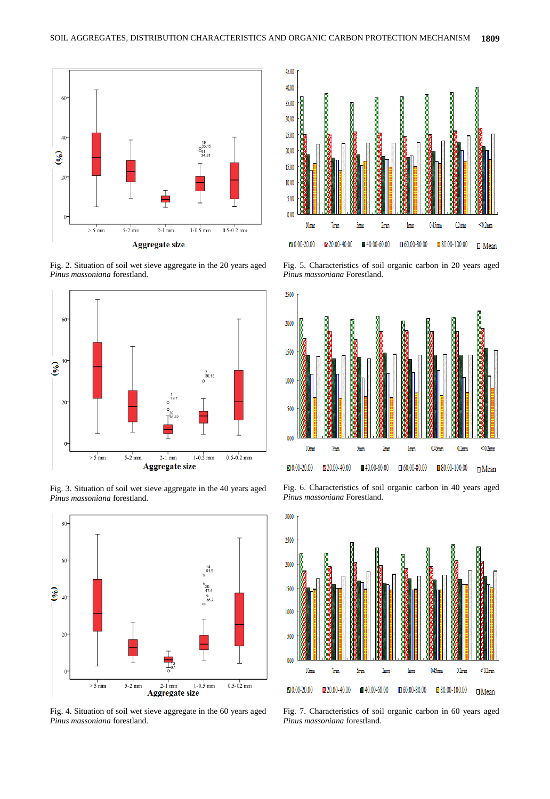

Fig. 2. Situation of soil wet sieve aggregate in the 20 years aged *Pinus massoniana* forestland.



Fig. 3. Situation of soil wet sieve aggregate in the 40 years aged *Pinus massoniana* forestland.



Fig. 4. Situation of soil wet sieve aggregate in the 60 years aged *Pinus massoniana* forestland.



Fig. 5. Characteristics of soil organic carbon in 20 years aged *Pinus massoniana* Forestland.



Fig. 6. Characteristics of soil organic carbon in 40 years aged *Pinus massoniana* Forestland.



Fig. 7. Characteristics of soil organic carbon in 60 years aged *Pinus massoniana* forestland.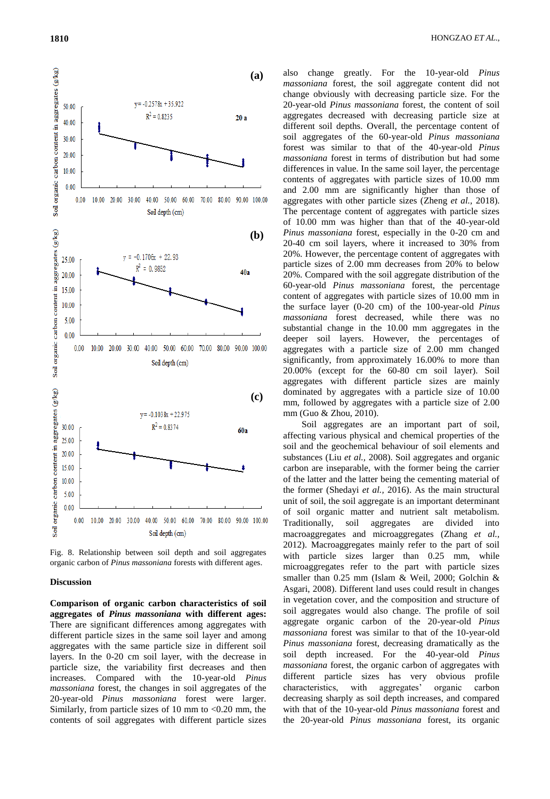Soil organic carbon content in aggregates (g/kg)

50.00

40.00 30.00 20.00 10.00  $0.00$  $0.00\,$ 





Fig. 8. Relationship between soil depth and soil aggregates organic carbon of *Pinus massoniana* forests with different ages.

#### **Discussion**

**Comparison of organic carbon characteristics of soil aggregates of** *Pinus massoniana* **with different ages:**  There are significant differences among aggregates with different particle sizes in the same soil layer and among aggregates with the same particle size in different soil layers. In the 0-20 cm soil layer, with the decrease in particle size, the variability first decreases and then increases. Compared with the 10-year-old *Pinus massoniana* forest, the changes in soil aggregates of the 20-year-old *Pinus massoniana* forest were larger. Similarly, from particle sizes of 10 mm to  $< 0.20$  mm, the contents of soil aggregates with different particle sizes

also change greatly. For the 10-year-old *Pinus massoniana* forest, the soil aggregate content did not change obviously with decreasing particle size. For the 20-year-old *Pinus massoniana* forest, the content of soil aggregates decreased with decreasing particle size at different soil depths. Overall, the percentage content of soil aggregates of the 60-year-old *Pinus massoniana*  forest was similar to that of the 40-year-old *Pinus massoniana* forest in terms of distribution but had some differences in value. In the same soil layer, the percentage contents of aggregates with particle sizes of 10.00 mm and 2.00 mm are significantly higher than those of aggregates with other particle sizes (Zheng *et al.,* 2018). The percentage content of aggregates with particle sizes of 10.00 mm was higher than that of the 40-year-old *Pinus massoniana* forest, especially in the 0-20 cm and 20-40 cm soil layers, where it increased to 30% from 20%. However, the percentage content of aggregates with particle sizes of 2.00 mm decreases from 20% to below 20%. Compared with the soil aggregate distribution of the 60-year-old *Pinus massoniana* forest, the percentage content of aggregates with particle sizes of 10.00 mm in the surface layer (0-20 cm) of the 100-year-old *Pinus massoniana* forest decreased, while there was no substantial change in the 10.00 mm aggregates in the deeper soil layers. However, the percentages of aggregates with a particle size of 2.00 mm changed significantly, from approximately 16.00% to more than 20.00% (except for the 60-80 cm soil layer). Soil aggregates with different particle sizes are mainly dominated by aggregates with a particle size of 10.00 mm, followed by aggregates with a particle size of 2.00 mm (Guo & Zhou*,* 2010).

Soil aggregates are an important part of soil, affecting various physical and chemical properties of the soil and the geochemical behaviour of soil elements and substances (Liu *et al.,* 2008). Soil aggregates and organic carbon are inseparable, with the former being the carrier of the latter and the latter being the cementing material of the former (Shedayi *et al.,* 2016). As the main structural unit of soil, the soil aggregate is an important determinant of soil organic matter and nutrient salt metabolism. aggregates are divided into macroaggregates and microaggregates (Zhang *et al.,*  2012). Macroaggregates mainly refer to the part of soil with particle sizes larger than 0.25 mm, while microaggregates refer to the part with particle sizes smaller than 0.25 mm (Islam & Weil, 2000; Golchin & Asgari, 2008). Different land uses could result in changes in vegetation cover, and the composition and structure of soil aggregates would also change. The profile of soil aggregate organic carbon of the 20-year-old *Pinus massoniana* forest was similar to that of the 10-year-old *Pinus massoniana* forest, decreasing dramatically as the soil depth increased. For the 40-year-old *Pinus massoniana* forest, the organic carbon of aggregates with different particle sizes has very obvious profile characteristics, with aggregates' organic carbon decreasing sharply as soil depth increases, and compared with that of the 10-year-old *Pinus massoniana* forest and the 20-year-old *Pinus massoniana* forest, its organic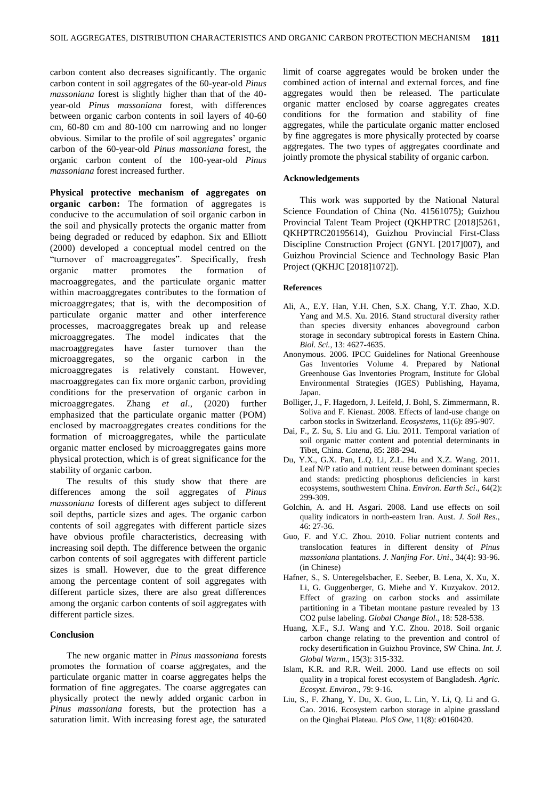carbon content also decreases significantly. The organic carbon content in soil aggregates of the 60-year-old *Pinus massoniana* forest is slightly higher than that of the 40 year-old *Pinus massoniana* forest, with differences between organic carbon contents in soil layers of 40-60 cm, 60-80 cm and 80-100 cm narrowing and no longer obvious. Similar to the profile of soil aggregates' organic carbon of the 60-year-old *Pinus massoniana* forest, the organic carbon content of the 100-year-old *Pinus massoniana* forest increased further.

**Physical protective mechanism of aggregates on organic carbon:** The formation of aggregates is conducive to the accumulation of soil organic carbon in the soil and physically protects the organic matter from being degraded or reduced by edaphon. Six and Elliott (2000) developed a conceptual model centred on the "turnover of macroaggregates". Specifically, fresh organic matter promotes the formation of macroaggregates, and the particulate organic matter within macroaggregates contributes to the formation of microaggregates; that is, with the decomposition of particulate organic matter and other interference processes, macroaggregates break up and release microaggregates. The model indicates that the macroaggregates have faster turnover than the microaggregates, so the organic carbon in the microaggregates is relatively constant. However, macroaggregates can fix more organic carbon, providing conditions for the preservation of organic carbon in microaggregates. Zhang *et al*., (2020) further emphasized that the particulate organic matter (POM) enclosed by macroaggregates creates conditions for the formation of microaggregates, while the particulate organic matter enclosed by microaggregates gains more physical protection, which is of great significance for the stability of organic carbon.

The results of this study show that there are differences among the soil aggregates of *Pinus massoniana* forests of different ages subject to different soil depths, particle sizes and ages. The organic carbon contents of soil aggregates with different particle sizes have obvious profile characteristics, decreasing with increasing soil depth. The difference between the organic carbon contents of soil aggregates with different particle sizes is small. However, due to the great difference among the percentage content of soil aggregates with different particle sizes, there are also great differences among the organic carbon contents of soil aggregates with different particle sizes.

### **Conclusion**

The new organic matter in *Pinus massoniana* forests promotes the formation of coarse aggregates, and the particulate organic matter in coarse aggregates helps the formation of fine aggregates. The coarse aggregates can physically protect the newly added organic carbon in *Pinus massoniana* forests, but the protection has a saturation limit. With increasing forest age, the saturated

limit of coarse aggregates would be broken under the combined action of internal and external forces, and fine aggregates would then be released. The particulate organic matter enclosed by coarse aggregates creates conditions for the formation and stability of fine aggregates, while the particulate organic matter enclosed by fine aggregates is more physically protected by coarse aggregates. The two types of aggregates coordinate and jointly promote the physical stability of organic carbon.

## **Acknowledgements**

This work was supported by the National Natural Science Foundation of China (No. 41561075); Guizhou Provincial Talent Team Project (QKHPTRC [2018]5261, QKHPTRC20195614), Guizhou Provincial First-Class Discipline Construction Project (GNYL [2017]007), and Guizhou Provincial Science and Technology Basic Plan Project (QKHJC [2018]1072]).

## **References**

- Ali, A., E.Y. Han, Y.H. Chen, S.X. Chang, Y.T. Zhao, X.D. Yang and M.S. Xu. 2016. Stand structural diversity rather than species diversity enhances aboveground carbon storage in secondary subtropical forests in Eastern China. *Biol. Sci.*, 13: 4627-4635.
- Anonymous. 2006. IPCC Guidelines for National Greenhouse Gas Inventories Volume 4. Prepared by National Greenhouse Gas Inventories Program, Institute for Global Environmental Strategies (IGES) Publishing, Hayama, Japan.
- Bolliger, J., F. Hagedorn, J. Leifeld, J. Bohl, S. Zimmermann, R. Soliva and F. Kienast. 2008. Effects of land-use change on carbon stocks in Switzerland. *Ecosystems*, 11(6): 895-907.
- Dai, F., Z. Su, S. Liu and G. Liu. 2011. Temporal variation of soil organic matter content and potential determinants in Tibet, China. *Catena*, 85: 288-294.
- Du, Y.X., G.X. Pan, L.Q. Li, Z.L. Hu and X.Z. Wang. 2011. Leaf N/P ratio and nutrient reuse between dominant species and stands: predicting phosphorus deficiencies in karst ecosystems, southwestern China. *Environ. Earth Sci*., 64(2): 299-309.
- Golchin, A. and H. Asgari. 2008. Land use effects on soil quality indicators in north-eastern Iran. Aust. *J. Soil Res.*, 46: 27-36.
- Guo, F. and Y.C. Zhou. 2010. Foliar nutrient contents and translocation features in different density of *Pinus massoniana* plantations. *J. Nanjing For. Uni*., 34(4): 93-96. (in Chinese)
- Hafner, S., S. Unteregelsbacher, E. Seeber, B. Lena, X. Xu, X. Li, G. Guggenberger, G. Miehe and Y. Kuzyakov. 2012. Effect of grazing on carbon stocks and assimilate partitioning in a Tibetan montane pasture revealed by 13 CO2 pulse labeling. *Global Change Biol*., 18: 528-538.
- Huang, X.F., S.J. Wang and Y.C. Zhou. 2018. Soil organic carbon change relating to the prevention and control of rocky desertification in Guizhou Province, SW China. *Int. J. Global Warm*., 15(3): 315-332.
- Islam, K.R. and R.R. Weil. 2000. Land use effects on soil quality in a tropical forest ecosystem of Bangladesh. *Agric. Ecosyst. Environ*., 79: 9-16.
- Liu, S., F. Zhang, Y. Du, X. Guo, L. Lin, Y. Li, Q. Li and G. Cao. 2016. Ecosystem carbon storage in alpine grassland on the Qinghai Plateau. *PloS One*, 11(8): e0160420.